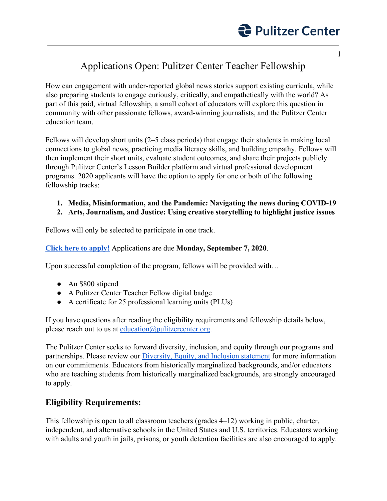

## Applications Open: Pulitzer Center Teacher Fellowship

How can engagement with under-reported global news stories support existing curricula, while also preparing students to engage curiously, critically, and empathetically with the world? As part of this paid, virtual fellowship, a small cohort of educators will explore this question in community with other passionate fellows, award-winning journalists, and the Pulitzer Center education team.

Fellows will develop short units (2–5 class periods) that engage their students in making local connections to global news, practicing media literacy skills, and building empathy. Fellows will then implement their short units, evaluate student outcomes, and share their projects publicly through Pulitzer Center's Lesson Builder platform and virtual professional development programs. 2020 applicants will have the option to apply for one or both of the following fellowship tracks:

#### **1. Media, Misinformation, and the Pandemic: Navigating the news during COVID-19**

#### **2. Arts, Journalism, and Justice: Using creative storytelling to highlight justice issues**

Fellows will only be selected to participate in one track.

#### **[Click here to apply!](https://pulitzercenter.submittable.com/submit/89f9d690-363c-46e9-87dd-2af84ac359bc/fall-2020-teacher-fellow)** Applications are due **Monday, September 7, 2020**.

Upon successful completion of the program, fellows will be provided with...

- An \$800 stipend
- A Pulitzer Center Teacher Fellow digital badge
- A certificate for 25 professional learning units (PLUs)

If you have questions after reading the eligibility requirements and fellowship details below, please reach out to us at [education@pulitzercenter.org](mailto:education@pulitzercenter.org).

The Pulitzer Center seeks to forward diversity, inclusion, and equity through our programs and partnerships. Please review our *Diversity*, *Equity*, and *Inclusion statement* for more information on our commitments. Educators from historically marginalized backgrounds, and/or educators who are teaching students from historically marginalized backgrounds, are strongly encouraged to apply.

### **Eligibility Requirements:**

This fellowship is open to all classroom teachers (grades 4–12) working in public, charter, independent, and alternative schools in the United States and U.S. territories. Educators working with adults and youth in jails, prisons, or youth detention facilities are also encouraged to apply.

1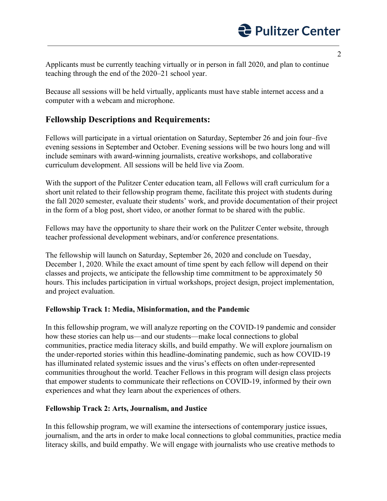Applicants must be currently teaching virtually or in person in fall 2020, and plan to continue teaching through the end of the 2020–21 school year.

Because all sessions will be held virtually, applicants must have stable internet access and a computer with a webcam and microphone.

## **Fellowship Descriptions and Requirements:**

Fellows will participate in a virtual orientation on Saturday, September 26 and join four–five evening sessions in September and October. Evening sessions will be two hours long and will include seminars with award-winning journalists, creative workshops, and collaborative curriculum development. All sessions will be held live via Zoom.

With the support of the Pulitzer Center education team, all Fellows will craft curriculum for a short unit related to their fellowship program theme, facilitate this project with students during the fall 2020 semester, evaluate their students' work, and provide documentation of their project in the form of a blog post, short video, or another format to be shared with the public.

Fellows may have the opportunity to share their work on the Pulitzer Center website, through teacher professional development webinars, and/or conference presentations.

The fellowship will launch on Saturday, September 26, 2020 and conclude on Tuesday, December 1, 2020. While the exact amount of time spent by each fellow will depend on their classes and projects, we anticipate the fellowship time commitment to be approximately 50 hours. This includes participation in virtual workshops, project design, project implementation, and project evaluation.

#### **Fellowship Track 1: Media, Misinformation, and the Pandemic**

In this fellowship program, we will analyze reporting on the COVID-19 pandemic and consider how these stories can help us—and our students—make local connections to global communities, practice media literacy skills, and build empathy. We will explore journalism on the under-reported stories within this headline-dominating pandemic, such as how COVID-19 has illuminated related systemic issues and the virus's effects on often under-represented communities throughout the world. Teacher Fellows in this program will design class projects that empower students to communicate their reflections on COVID-19, informed by their own experiences and what they learn about the experiences of others.

#### **Fellowship Track 2: Arts, Journalism, and Justice**

In this fellowship program, we will examine the intersections of contemporary justice issues, journalism, and the arts in order to make local connections to global communities, practice media literacy skills, and build empathy. We will engage with journalists who use creative methods to

2